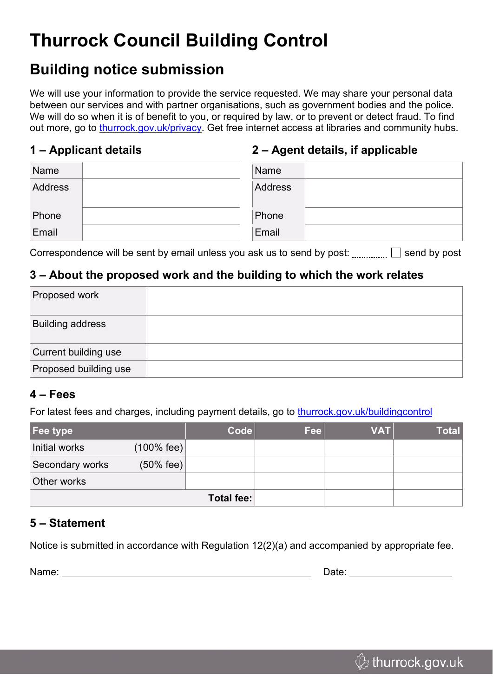# **Thurrock Council Building Control**

### **Building notice submission**

We will use your information to provide the service requested. We may share your personal data between our services and with partner organisations, such as government bodies and the police. We will do so when it is of benefit to you, or required by law, or to prevent or detect fraud. To find out more, go to [thurrock.gov.uk/privacy.](https://www.thurrock.gov.uk/privacy) Get free internet access at libraries and community hubs.

#### **1 – Applicant details**

#### **2 – Agent details, if applicable**

| Name    | Name    |
|---------|---------|
| Address | Address |
| Phone   | Phone   |
| Email   | Email   |

Correspondence will be sent by email unless you ask us to send by post:  $\Box$  send by post

#### **3 – About the proposed work and the building to which the work relates**

| Proposed work           |  |
|-------------------------|--|
| <b>Building address</b> |  |
| Current building use    |  |
| Proposed building use   |  |

#### **4 – Fees**

For latest fees and charges, including payment details, go to [thurrock.gov.uk/buildingcontrol](https://www.thurrock.gov.uk/buildingcontrol)

| Fee type        |                       | $\text{Code}$ | <b>Fee</b> | <b>VAT</b> | <b>Total</b> |
|-----------------|-----------------------|---------------|------------|------------|--------------|
| Initial works   | $(100\% \text{ fee})$ |               |            |            |              |
| Secondary works | $(50%$ fee)           |               |            |            |              |
| Other works     |                       |               |            |            |              |
| Total fee:      |                       |               |            |            |              |

#### **5 – Statement**

Notice is submitted in accordance with Regulation 12(2)(a) and accompanied by appropriate fee.

Name: Name: 2008 and 2008 and 2008 and 2008 and 2008 and 2008 and 2008 and 2008 and 2008 and 2008 and 2008 and 2008 and 2008 and 2008 and 2008 and 2008 and 2008 and 2008 and 2008 and 2008 and 2008 and 2008 and 2008 and 200